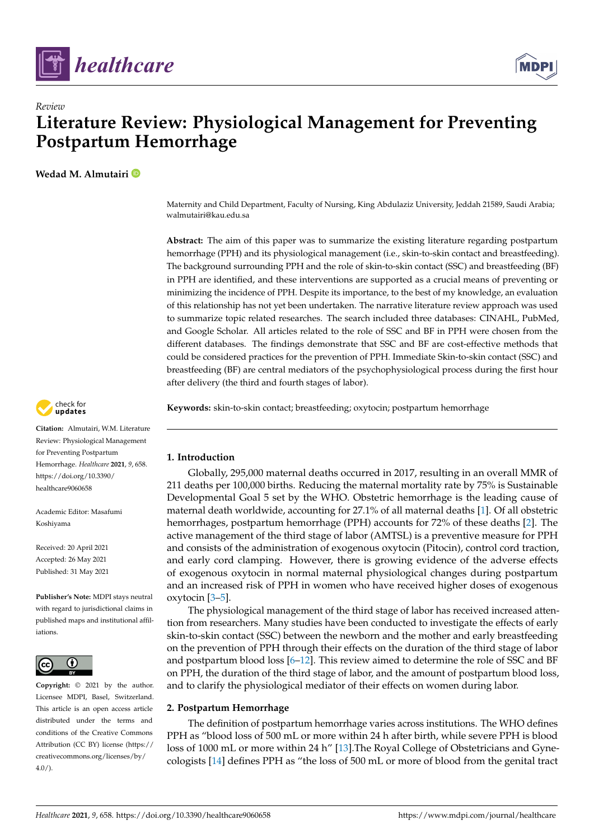



# *Review* **Literature Review: Physiological Management for Preventing Postpartum Hemorrhage**

**Wedad M. Almutairi**

Maternity and Child Department, Faculty of Nursing, King Abdulaziz University, Jeddah 21589, Saudi Arabia; walmutairi@kau.edu.sa

**Abstract:** The aim of this paper was to summarize the existing literature regarding postpartum hemorrhage (PPH) and its physiological management (i.e., skin-to-skin contact and breastfeeding). The background surrounding PPH and the role of skin-to-skin contact (SSC) and breastfeeding (BF) in PPH are identified, and these interventions are supported as a crucial means of preventing or minimizing the incidence of PPH. Despite its importance, to the best of my knowledge, an evaluation of this relationship has not yet been undertaken. The narrative literature review approach was used to summarize topic related researches. The search included three databases: CINAHL, PubMed, and Google Scholar. All articles related to the role of SSC and BF in PPH were chosen from the different databases. The findings demonstrate that SSC and BF are cost-effective methods that could be considered practices for the prevention of PPH. Immediate Skin-to-skin contact (SSC) and breastfeeding (BF) are central mediators of the psychophysiological process during the first hour after delivery (the third and fourth stages of labor).

**Keywords:** skin-to-skin contact; breastfeeding; oxytocin; postpartum hemorrhage

# **1. Introduction**

Globally, 295,000 maternal deaths occurred in 2017, resulting in an overall MMR of 211 deaths per 100,000 births. Reducing the maternal mortality rate by 75% is Sustainable Developmental Goal 5 set by the WHO. Obstetric hemorrhage is the leading cause of maternal death worldwide, accounting for 27.1% of all maternal deaths [\[1\]](#page-7-0). Of all obstetric hemorrhages, postpartum hemorrhage (PPH) accounts for 72% of these deaths [\[2\]](#page-7-1). The active management of the third stage of labor (AMTSL) is a preventive measure for PPH and consists of the administration of exogenous oxytocin (Pitocin), control cord traction, and early cord clamping. However, there is growing evidence of the adverse effects of exogenous oxytocin in normal maternal physiological changes during postpartum and an increased risk of PPH in women who have received higher doses of exogenous oxytocin [\[3–](#page-7-2)[5\]](#page-7-3).

The physiological management of the third stage of labor has received increased attention from researchers. Many studies have been conducted to investigate the effects of early skin-to-skin contact (SSC) between the newborn and the mother and early breastfeeding on the prevention of PPH through their effects on the duration of the third stage of labor and postpartum blood loss [\[6–](#page-7-4)[12\]](#page-8-0). This review aimed to determine the role of SSC and BF on PPH, the duration of the third stage of labor, and the amount of postpartum blood loss, and to clarify the physiological mediator of their effects on women during labor.

# **2. Postpartum Hemorrhage**

The definition of postpartum hemorrhage varies across institutions. The WHO defines PPH as "blood loss of 500 mL or more within 24 h after birth, while severe PPH is blood loss of 1000 mL or more within 24 h" [\[13\]](#page-8-1). The Royal College of Obstetricians and Gynecologists [\[14\]](#page-8-2) defines PPH as "the loss of 500 mL or more of blood from the genital tract



**Citation:** Almutairi, W.M. Literature Review: Physiological Management for Preventing Postpartum Hemorrhage. *Healthcare* **2021**, *9*, 658. [https://doi.org/10.3390/](https://doi.org/10.3390/healthcare9060658) [healthcare9060658](https://doi.org/10.3390/healthcare9060658)

Academic Editor: Masafumi Koshiyama

Received: 20 April 2021 Accepted: 26 May 2021 Published: 31 May 2021

**Publisher's Note:** MDPI stays neutral with regard to jurisdictional claims in published maps and institutional affiliations.



**Copyright:** © 2021 by the author. Licensee MDPI, Basel, Switzerland. This article is an open access article distributed under the terms and conditions of the Creative Commons Attribution (CC BY) license (https:/[/](https://creativecommons.org/licenses/by/4.0/) [creativecommons.org/licenses/by/](https://creativecommons.org/licenses/by/4.0/)  $4.0/$ ).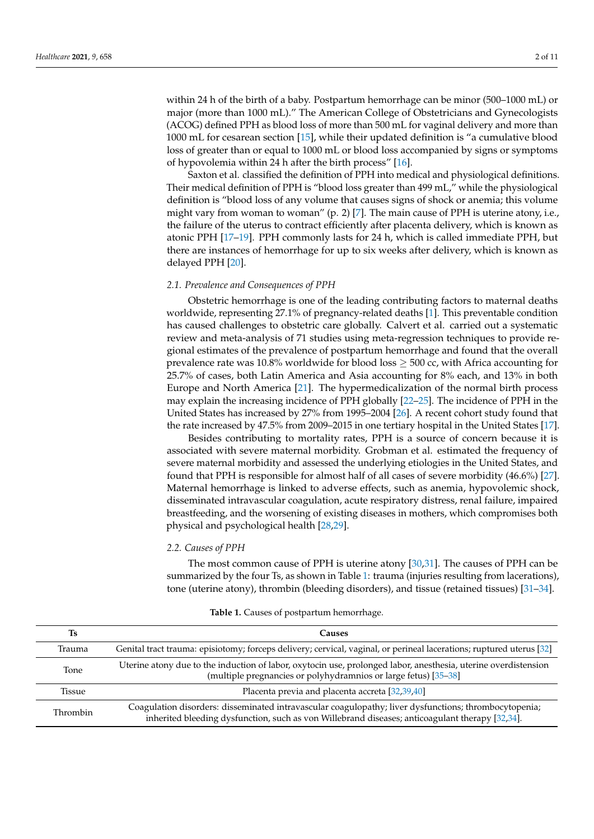within 24 h of the birth of a baby. Postpartum hemorrhage can be minor (500–1000 mL) or major (more than 1000 mL)." The American College of Obstetricians and Gynecologists (ACOG) defined PPH as blood loss of more than 500 mL for vaginal delivery and more than 1000 mL for cesarean section [\[15\]](#page-8-3), while their updated definition is "a cumulative blood loss of greater than or equal to 1000 mL or blood loss accompanied by signs or symptoms of hypovolemia within 24 h after the birth process" [\[16\]](#page-8-4).

Saxton et al. classified the definition of PPH into medical and physiological definitions. Their medical definition of PPH is "blood loss greater than 499 mL," while the physiological definition is "blood loss of any volume that causes signs of shock or anemia; this volume might vary from woman to woman" (p. 2) [\[7\]](#page-7-5). The main cause of PPH is uterine atony, i.e., the failure of the uterus to contract efficiently after placenta delivery, which is known as atonic PPH [\[17](#page-8-5)[–19\]](#page-8-6). PPH commonly lasts for 24 h, which is called immediate PPH, but there are instances of hemorrhage for up to six weeks after delivery, which is known as delayed PPH [\[20\]](#page-8-7).

#### *2.1. Prevalence and Consequences of PPH*

Obstetric hemorrhage is one of the leading contributing factors to maternal deaths worldwide, representing 27.1% of pregnancy-related deaths [\[1\]](#page-7-0). This preventable condition has caused challenges to obstetric care globally. Calvert et al. carried out a systematic review and meta-analysis of 71 studies using meta-regression techniques to provide regional estimates of the prevalence of postpartum hemorrhage and found that the overall prevalence rate was 10.8% worldwide for blood loss  $\geq$  500 cc, with Africa accounting for 25.7% of cases, both Latin America and Asia accounting for 8% each, and 13% in both Europe and North America [\[21\]](#page-8-8). The hypermedicalization of the normal birth process may explain the increasing incidence of PPH globally [\[22](#page-8-9)[–25\]](#page-8-10). The incidence of PPH in the United States has increased by 27% from 1995–2004 [\[26\]](#page-8-11). A recent cohort study found that the rate increased by 47.5% from 2009–2015 in one tertiary hospital in the United States [\[17\]](#page-8-5).

Besides contributing to mortality rates, PPH is a source of concern because it is associated with severe maternal morbidity. Grobman et al. estimated the frequency of severe maternal morbidity and assessed the underlying etiologies in the United States, and found that PPH is responsible for almost half of all cases of severe morbidity (46.6%) [\[27\]](#page-8-12). Maternal hemorrhage is linked to adverse effects, such as anemia, hypovolemic shock, disseminated intravascular coagulation, acute respiratory distress, renal failure, impaired breastfeeding, and the worsening of existing diseases in mothers, which compromises both physical and psychological health [\[28](#page-8-13)[,29\]](#page-8-14).

#### *2.2. Causes of PPH*

The most common cause of PPH is uterine atony [\[30](#page-8-15)[,31\]](#page-8-16). The causes of PPH can be summarized by the four Ts, as shown in Table [1:](#page-1-0) trauma (injuries resulting from lacerations), tone (uterine atony), thrombin (bleeding disorders), and tissue (retained tissues) [\[31](#page-8-16)[–34\]](#page-8-17).

<span id="page-1-0"></span>

| Ts          | Causes                                                                                                                                                                                                   |  |  |  |
|-------------|----------------------------------------------------------------------------------------------------------------------------------------------------------------------------------------------------------|--|--|--|
| Trauma      | Genital tract trauma: episiotomy; forceps delivery; cervical, vaginal, or perineal lacerations; ruptured uterus [32]                                                                                     |  |  |  |
| <b>Tone</b> | Uterine atony due to the induction of labor, oxytocin use, prolonged labor, anesthesia, uterine overdistension<br>(multiple pregnancies or polyhydramnios or large fetus) [35-38]                        |  |  |  |
| Tissue      | Placenta previa and placenta accreta [32,39,40]                                                                                                                                                          |  |  |  |
| Thrombin    | Coagulation disorders: disseminated intravascular coagulopathy; liver dysfunctions; thrombocytopenia;<br>inherited bleeding dysfunction, such as von Willebrand diseases; anticoagulant therapy [32,34]. |  |  |  |

|  |  |  |  | <b>Table 1.</b> Causes of postpartum hemorrhage. |
|--|--|--|--|--------------------------------------------------|
|--|--|--|--|--------------------------------------------------|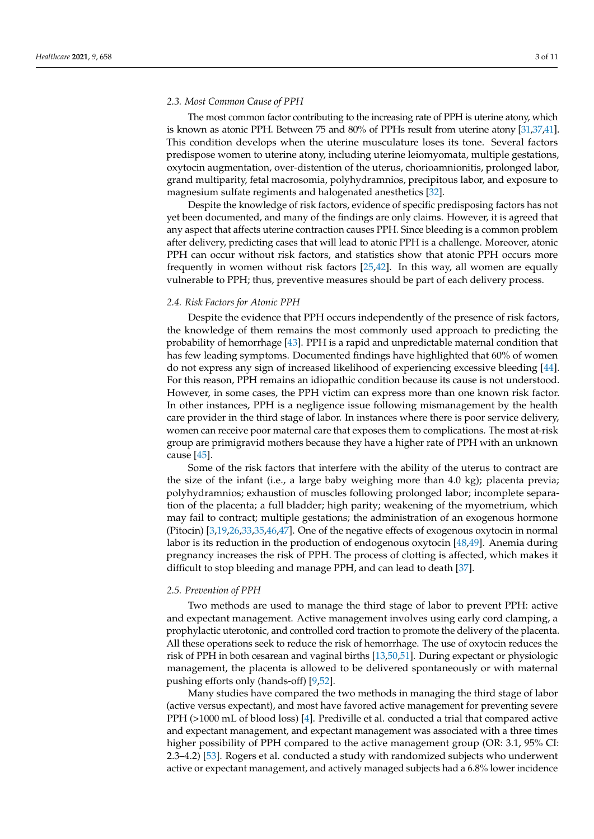## *2.3. Most Common Cause of PPH*

The most common factor contributing to the increasing rate of PPH is uterine atony, which is known as atonic PPH. Between 75 and 80% of PPHs result from uterine atony [\[31](#page-8-16)[,37,](#page-8-21)[41\]](#page-9-2). This condition develops when the uterine musculature loses its tone. Several factors predispose women to uterine atony, including uterine leiomyomata, multiple gestations, oxytocin augmentation, over-distention of the uterus, chorioamnionitis, prolonged labor, grand multiparity, fetal macrosomia, polyhydramnios, precipitous labor, and exposure to magnesium sulfate regiments and halogenated anesthetics [\[32\]](#page-8-18).

Despite the knowledge of risk factors, evidence of specific predisposing factors has not yet been documented, and many of the findings are only claims. However, it is agreed that any aspect that affects uterine contraction causes PPH. Since bleeding is a common problem after delivery, predicting cases that will lead to atonic PPH is a challenge. Moreover, atonic PPH can occur without risk factors, and statistics show that atonic PPH occurs more frequently in women without risk factors [\[25](#page-8-10)[,42\]](#page-9-3). In this way, all women are equally vulnerable to PPH; thus, preventive measures should be part of each delivery process.

#### *2.4. Risk Factors for Atonic PPH*

Despite the evidence that PPH occurs independently of the presence of risk factors, the knowledge of them remains the most commonly used approach to predicting the probability of hemorrhage [\[43\]](#page-9-4). PPH is a rapid and unpredictable maternal condition that has few leading symptoms. Documented findings have highlighted that 60% of women do not express any sign of increased likelihood of experiencing excessive bleeding [\[44\]](#page-9-5). For this reason, PPH remains an idiopathic condition because its cause is not understood. However, in some cases, the PPH victim can express more than one known risk factor. In other instances, PPH is a negligence issue following mismanagement by the health care provider in the third stage of labor. In instances where there is poor service delivery, women can receive poor maternal care that exposes them to complications. The most at-risk group are primigravid mothers because they have a higher rate of PPH with an unknown cause [\[45\]](#page-9-6).

Some of the risk factors that interfere with the ability of the uterus to contract are the size of the infant (i.e., a large baby weighing more than 4.0 kg); placenta previa; polyhydramnios; exhaustion of muscles following prolonged labor; incomplete separation of the placenta; a full bladder; high parity; weakening of the myometrium, which may fail to contract; multiple gestations; the administration of an exogenous hormone (Pitocin) [\[3,](#page-7-2)[19,](#page-8-6)[26](#page-8-11)[,33](#page-8-22)[,35](#page-8-19)[,46](#page-9-7)[,47\]](#page-9-8). One of the negative effects of exogenous oxytocin in normal labor is its reduction in the production of endogenous oxytocin [\[48](#page-9-9)[,49\]](#page-9-10). Anemia during pregnancy increases the risk of PPH. The process of clotting is affected, which makes it difficult to stop bleeding and manage PPH, and can lead to death [\[37\]](#page-8-21).

#### *2.5. Prevention of PPH*

Two methods are used to manage the third stage of labor to prevent PPH: active and expectant management. Active management involves using early cord clamping, a prophylactic uterotonic, and controlled cord traction to promote the delivery of the placenta. All these operations seek to reduce the risk of hemorrhage. The use of oxytocin reduces the risk of PPH in both cesarean and vaginal births [\[13,](#page-8-1)[50,](#page-9-11)[51\]](#page-9-12). During expectant or physiologic management, the placenta is allowed to be delivered spontaneously or with maternal pushing efforts only (hands-off) [\[9](#page-7-6)[,52\]](#page-9-13).

Many studies have compared the two methods in managing the third stage of labor (active versus expectant), and most have favored active management for preventing severe PPH (>1000 mL of blood loss) [\[4\]](#page-7-7). Prediville et al. conducted a trial that compared active and expectant management, and expectant management was associated with a three times higher possibility of PPH compared to the active management group (OR: 3.1, 95% CI: 2.3–4.2) [\[53\]](#page-9-14). Rogers et al. conducted a study with randomized subjects who underwent active or expectant management, and actively managed subjects had a 6.8% lower incidence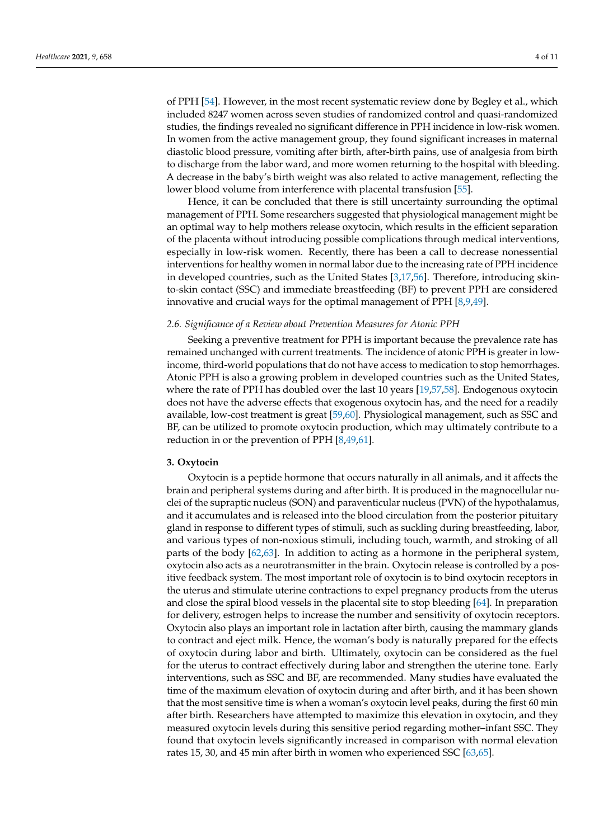of PPH [\[54\]](#page-9-15). However, in the most recent systematic review done by Begley et al., which included 8247 women across seven studies of randomized control and quasi-randomized studies, the findings revealed no significant difference in PPH incidence in low-risk women. In women from the active management group, they found significant increases in maternal diastolic blood pressure, vomiting after birth, after-birth pains, use of analgesia from birth to discharge from the labor ward, and more women returning to the hospital with bleeding. A decrease in the baby's birth weight was also related to active management, reflecting the lower blood volume from interference with placental transfusion [\[55\]](#page-9-16).

Hence, it can be concluded that there is still uncertainty surrounding the optimal management of PPH. Some researchers suggested that physiological management might be an optimal way to help mothers release oxytocin, which results in the efficient separation of the placenta without introducing possible complications through medical interventions, especially in low-risk women. Recently, there has been a call to decrease nonessential interventions for healthy women in normal labor due to the increasing rate of PPH incidence in developed countries, such as the United States [\[3,](#page-7-2)[17,](#page-8-5)[56\]](#page-9-17). Therefore, introducing skinto-skin contact (SSC) and immediate breastfeeding (BF) to prevent PPH are considered innovative and crucial ways for the optimal management of PPH [\[8](#page-7-8)[,9](#page-7-6)[,49\]](#page-9-10).

## *2.6. Significance of a Review about Prevention Measures for Atonic PPH*

Seeking a preventive treatment for PPH is important because the prevalence rate has remained unchanged with current treatments. The incidence of atonic PPH is greater in lowincome, third-world populations that do not have access to medication to stop hemorrhages. Atonic PPH is also a growing problem in developed countries such as the United States, where the rate of PPH has doubled over the last 10 years [\[19](#page-8-6)[,57](#page-9-18)[,58\]](#page-9-19). Endogenous oxytocin does not have the adverse effects that exogenous oxytocin has, and the need for a readily available, low-cost treatment is great [\[59,](#page-9-20)[60\]](#page-9-21). Physiological management, such as SSC and BF, can be utilized to promote oxytocin production, which may ultimately contribute to a reduction in or the prevention of PPH [\[8](#page-7-8)[,49](#page-9-10)[,61\]](#page-9-22).

# **3. Oxytocin**

Oxytocin is a peptide hormone that occurs naturally in all animals, and it affects the brain and peripheral systems during and after birth. It is produced in the magnocellular nuclei of the supraptic nucleus (SON) and paraventicular nucleus (PVN) of the hypothalamus, and it accumulates and is released into the blood circulation from the posterior pituitary gland in response to different types of stimuli, such as suckling during breastfeeding, labor, and various types of non-noxious stimuli, including touch, warmth, and stroking of all parts of the body [\[62,](#page-9-23)[63\]](#page-9-24). In addition to acting as a hormone in the peripheral system, oxytocin also acts as a neurotransmitter in the brain. Oxytocin release is controlled by a positive feedback system. The most important role of oxytocin is to bind oxytocin receptors in the uterus and stimulate uterine contractions to expel pregnancy products from the uterus and close the spiral blood vessels in the placental site to stop bleeding [\[64\]](#page-9-25). In preparation for delivery, estrogen helps to increase the number and sensitivity of oxytocin receptors. Oxytocin also plays an important role in lactation after birth, causing the mammary glands to contract and eject milk. Hence, the woman's body is naturally prepared for the effects of oxytocin during labor and birth. Ultimately, oxytocin can be considered as the fuel for the uterus to contract effectively during labor and strengthen the uterine tone. Early interventions, such as SSC and BF, are recommended. Many studies have evaluated the time of the maximum elevation of oxytocin during and after birth, and it has been shown that the most sensitive time is when a woman's oxytocin level peaks, during the first 60 min after birth. Researchers have attempted to maximize this elevation in oxytocin, and they measured oxytocin levels during this sensitive period regarding mother–infant SSC. They found that oxytocin levels significantly increased in comparison with normal elevation rates 15, 30, and 45 min after birth in women who experienced SSC [\[63,](#page-9-24)[65\]](#page-10-0).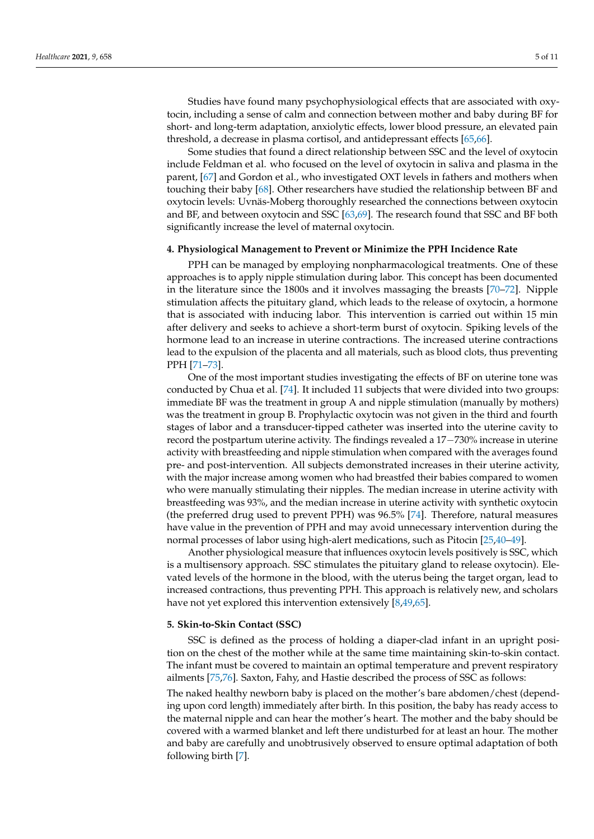Studies have found many psychophysiological effects that are associated with oxytocin, including a sense of calm and connection between mother and baby during BF for short- and long-term adaptation, anxiolytic effects, lower blood pressure, an elevated pain threshold, a decrease in plasma cortisol, and antidepressant effects [\[65](#page-10-0)[,66\]](#page-10-1).

Some studies that found a direct relationship between SSC and the level of oxytocin include Feldman et al. who focused on the level of oxytocin in saliva and plasma in the parent, [\[67\]](#page-10-2) and Gordon et al., who investigated OXT levels in fathers and mothers when touching their baby [\[68\]](#page-10-3). Other researchers have studied the relationship between BF and oxytocin levels: Uvnäs-Moberg thoroughly researched the connections between oxytocin and BF, and between oxytocin and SSC [\[63](#page-9-24)[,69\]](#page-10-4). The research found that SSC and BF both significantly increase the level of maternal oxytocin.

# **4. Physiological Management to Prevent or Minimize the PPH Incidence Rate**

PPH can be managed by employing nonpharmacological treatments. One of these approaches is to apply nipple stimulation during labor. This concept has been documented in the literature since the 1800s and it involves massaging the breasts [\[70](#page-10-5)[–72\]](#page-10-6). Nipple stimulation affects the pituitary gland, which leads to the release of oxytocin, a hormone that is associated with inducing labor. This intervention is carried out within 15 min after delivery and seeks to achieve a short-term burst of oxytocin. Spiking levels of the hormone lead to an increase in uterine contractions. The increased uterine contractions lead to the expulsion of the placenta and all materials, such as blood clots, thus preventing PPH [\[71](#page-10-7)[–73\]](#page-10-8).

One of the most important studies investigating the effects of BF on uterine tone was conducted by Chua et al. [\[74\]](#page-10-9). It included 11 subjects that were divided into two groups: immediate BF was the treatment in group A and nipple stimulation (manually by mothers) was the treatment in group B. Prophylactic oxytocin was not given in the third and fourth stages of labor and a transducer-tipped catheter was inserted into the uterine cavity to record the postpartum uterine activity. The findings revealed a 17−730% increase in uterine activity with breastfeeding and nipple stimulation when compared with the averages found pre- and post-intervention. All subjects demonstrated increases in their uterine activity, with the major increase among women who had breastfed their babies compared to women who were manually stimulating their nipples. The median increase in uterine activity with breastfeeding was 93%, and the median increase in uterine activity with synthetic oxytocin (the preferred drug used to prevent PPH) was 96.5% [\[74\]](#page-10-9). Therefore, natural measures have value in the prevention of PPH and may avoid unnecessary intervention during the normal processes of labor using high-alert medications, such as Pitocin [\[25,](#page-8-10)[40](#page-9-1)[–49\]](#page-9-10).

Another physiological measure that influences oxytocin levels positively is SSC, which is a multisensory approach. SSC stimulates the pituitary gland to release oxytocin). Elevated levels of the hormone in the blood, with the uterus being the target organ, lead to increased contractions, thus preventing PPH. This approach is relatively new, and scholars have not yet explored this intervention extensively [\[8,](#page-7-8)[49,](#page-9-10)[65\]](#page-10-0).

### **5. Skin-to-Skin Contact (SSC)**

SSC is defined as the process of holding a diaper-clad infant in an upright position on the chest of the mother while at the same time maintaining skin-to-skin contact. The infant must be covered to maintain an optimal temperature and prevent respiratory ailments [\[75,](#page-10-10)[76\]](#page-10-11). Saxton, Fahy, and Hastie described the process of SSC as follows:

The naked healthy newborn baby is placed on the mother's bare abdomen/chest (depending upon cord length) immediately after birth. In this position, the baby has ready access to the maternal nipple and can hear the mother's heart. The mother and the baby should be covered with a warmed blanket and left there undisturbed for at least an hour. The mother and baby are carefully and unobtrusively observed to ensure optimal adaptation of both following birth [\[7\]](#page-7-5).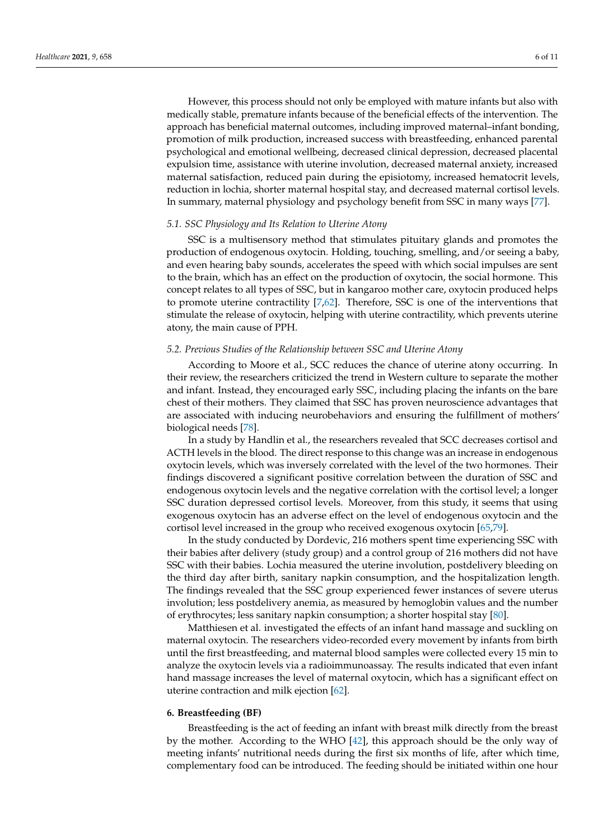However, this process should not only be employed with mature infants but also with medically stable, premature infants because of the beneficial effects of the intervention. The approach has beneficial maternal outcomes, including improved maternal–infant bonding, promotion of milk production, increased success with breastfeeding, enhanced parental psychological and emotional wellbeing, decreased clinical depression, decreased placental expulsion time, assistance with uterine involution, decreased maternal anxiety, increased maternal satisfaction, reduced pain during the episiotomy, increased hematocrit levels, reduction in lochia, shorter maternal hospital stay, and decreased maternal cortisol levels. In summary, maternal physiology and psychology benefit from SSC in many ways [\[77\]](#page-10-12).

## *5.1. SSC Physiology and Its Relation to Uterine Atony*

SSC is a multisensory method that stimulates pituitary glands and promotes the production of endogenous oxytocin. Holding, touching, smelling, and/or seeing a baby, and even hearing baby sounds, accelerates the speed with which social impulses are sent to the brain, which has an effect on the production of oxytocin, the social hormone. This concept relates to all types of SSC, but in kangaroo mother care, oxytocin produced helps to promote uterine contractility [\[7,](#page-7-5)[62\]](#page-9-23). Therefore, SSC is one of the interventions that stimulate the release of oxytocin, helping with uterine contractility, which prevents uterine atony, the main cause of PPH.

## *5.2. Previous Studies of the Relationship between SSC and Uterine Atony*

According to Moore et al., SCC reduces the chance of uterine atony occurring. In their review, the researchers criticized the trend in Western culture to separate the mother and infant. Instead, they encouraged early SSC, including placing the infants on the bare chest of their mothers. They claimed that SSC has proven neuroscience advantages that are associated with inducing neurobehaviors and ensuring the fulfillment of mothers' biological needs [\[78\]](#page-10-13).

In a study by Handlin et al., the researchers revealed that SCC decreases cortisol and ACTH levels in the blood. The direct response to this change was an increase in endogenous oxytocin levels, which was inversely correlated with the level of the two hormones. Their findings discovered a significant positive correlation between the duration of SSC and endogenous oxytocin levels and the negative correlation with the cortisol level; a longer SSC duration depressed cortisol levels. Moreover, from this study, it seems that using exogenous oxytocin has an adverse effect on the level of endogenous oxytocin and the cortisol level increased in the group who received exogenous oxytocin [\[65,](#page-10-0)[79\]](#page-10-14).

In the study conducted by Dordevic, 216 mothers spent time experiencing SSC with their babies after delivery (study group) and a control group of 216 mothers did not have SSC with their babies. Lochia measured the uterine involution, postdelivery bleeding on the third day after birth, sanitary napkin consumption, and the hospitalization length. The findings revealed that the SSC group experienced fewer instances of severe uterus involution; less postdelivery anemia, as measured by hemoglobin values and the number of erythrocytes; less sanitary napkin consumption; a shorter hospital stay [\[80\]](#page-10-15).

Matthiesen et al. investigated the effects of an infant hand massage and suckling on maternal oxytocin. The researchers video-recorded every movement by infants from birth until the first breastfeeding, and maternal blood samples were collected every 15 min to analyze the oxytocin levels via a radioimmunoassay. The results indicated that even infant hand massage increases the level of maternal oxytocin, which has a significant effect on uterine contraction and milk ejection [\[62\]](#page-9-23).

# **6. Breastfeeding (BF)**

Breastfeeding is the act of feeding an infant with breast milk directly from the breast by the mother. According to the WHO [\[42\]](#page-9-3), this approach should be the only way of meeting infants' nutritional needs during the first six months of life, after which time, complementary food can be introduced. The feeding should be initiated within one hour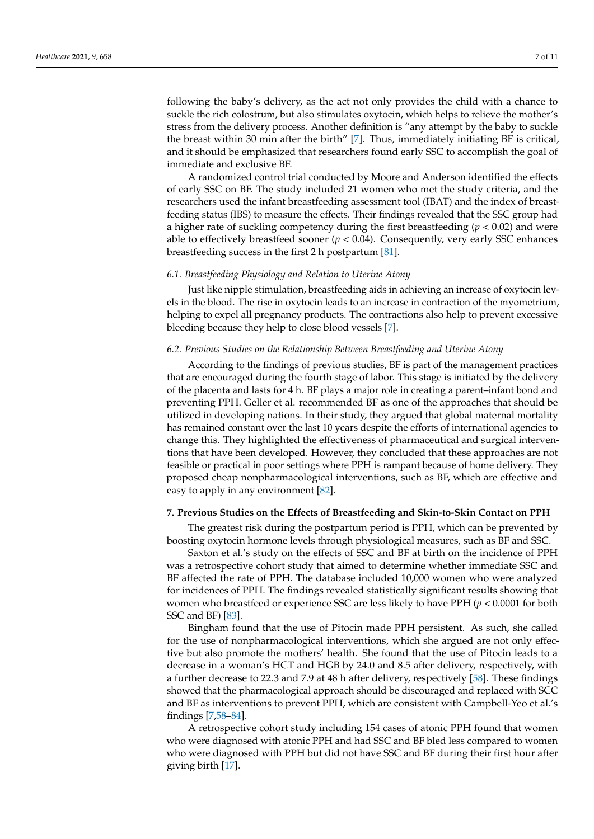following the baby's delivery, as the act not only provides the child with a chance to suckle the rich colostrum, but also stimulates oxytocin, which helps to relieve the mother's stress from the delivery process. Another definition is "any attempt by the baby to suckle the breast within 30 min after the birth" [\[7\]](#page-7-5). Thus, immediately initiating BF is critical, and it should be emphasized that researchers found early SSC to accomplish the goal of immediate and exclusive BF.

A randomized control trial conducted by Moore and Anderson identified the effects of early SSC on BF. The study included 21 women who met the study criteria, and the researchers used the infant breastfeeding assessment tool (IBAT) and the index of breastfeeding status (IBS) to measure the effects. Their findings revealed that the SSC group had a higher rate of suckling competency during the first breastfeeding (*p* < 0.02) and were able to effectively breastfeed sooner  $(p < 0.04)$ . Consequently, very early SSC enhances breastfeeding success in the first 2 h postpartum [\[81\]](#page-10-16).

#### *6.1. Breastfeeding Physiology and Relation to Uterine Atony*

Just like nipple stimulation, breastfeeding aids in achieving an increase of oxytocin levels in the blood. The rise in oxytocin leads to an increase in contraction of the myometrium, helping to expel all pregnancy products. The contractions also help to prevent excessive bleeding because they help to close blood vessels [\[7\]](#page-7-5).

# *6.2. Previous Studies on the Relationship Between Breastfeeding and Uterine Atony*

According to the findings of previous studies, BF is part of the management practices that are encouraged during the fourth stage of labor. This stage is initiated by the delivery of the placenta and lasts for 4 h. BF plays a major role in creating a parent–infant bond and preventing PPH. Geller et al. recommended BF as one of the approaches that should be utilized in developing nations. In their study, they argued that global maternal mortality has remained constant over the last 10 years despite the efforts of international agencies to change this. They highlighted the effectiveness of pharmaceutical and surgical interventions that have been developed. However, they concluded that these approaches are not feasible or practical in poor settings where PPH is rampant because of home delivery. They proposed cheap nonpharmacological interventions, such as BF, which are effective and easy to apply in any environment [\[82\]](#page-10-17).

# **7. Previous Studies on the Effects of Breastfeeding and Skin-to-Skin Contact on PPH**

The greatest risk during the postpartum period is PPH, which can be prevented by boosting oxytocin hormone levels through physiological measures, such as BF and SSC.

Saxton et al.'s study on the effects of SSC and BF at birth on the incidence of PPH was a retrospective cohort study that aimed to determine whether immediate SSC and BF affected the rate of PPH. The database included 10,000 women who were analyzed for incidences of PPH. The findings revealed statistically significant results showing that women who breastfeed or experience SSC are less likely to have PPH (*p* < 0.0001 for both SSC and BF) [\[83\]](#page-10-18).

Bingham found that the use of Pitocin made PPH persistent. As such, she called for the use of nonpharmacological interventions, which she argued are not only effective but also promote the mothers' health. She found that the use of Pitocin leads to a decrease in a woman's HCT and HGB by 24.0 and 8.5 after delivery, respectively, with a further decrease to 22.3 and 7.9 at 48 h after delivery, respectively [\[58\]](#page-9-19). These findings showed that the pharmacological approach should be discouraged and replaced with SCC and BF as interventions to prevent PPH, which are consistent with Campbell-Yeo et al.'s findings [\[7](#page-7-5)[,58–](#page-9-19)[84\]](#page-10-19).

A retrospective cohort study including 154 cases of atonic PPH found that women who were diagnosed with atonic PPH and had SSC and BF bled less compared to women who were diagnosed with PPH but did not have SSC and BF during their first hour after giving birth [\[17\]](#page-8-5).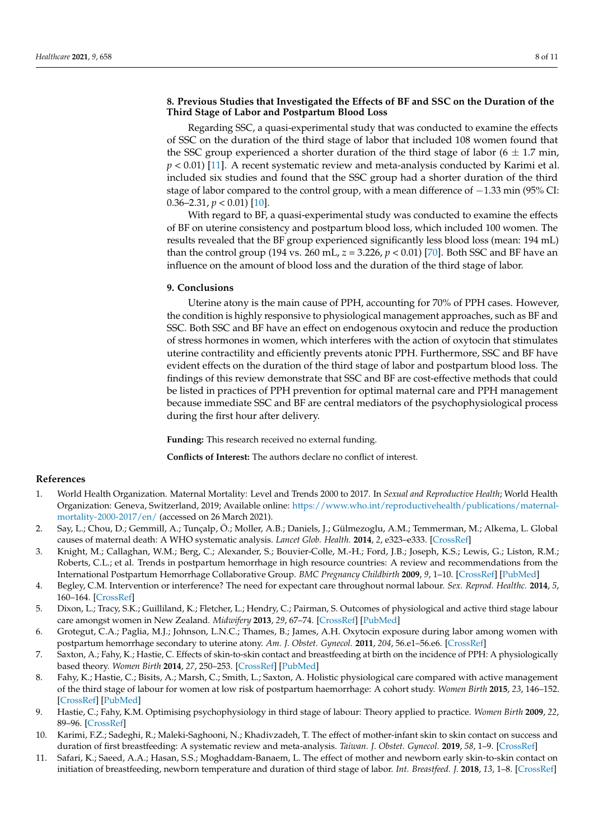# **8. Previous Studies that Investigated the Effects of BF and SSC on the Duration of the Third Stage of Labor and Postpartum Blood Loss**

Regarding SSC, a quasi-experimental study that was conducted to examine the effects of SSC on the duration of the third stage of labor that included 108 women found that the SSC group experienced a shorter duration of the third stage of labor ( $6 \pm 1.7$  min, *p* < 0.01) [\[11\]](#page-7-9). A recent systematic review and meta-analysis conducted by Karimi et al. included six studies and found that the SSC group had a shorter duration of the third stage of labor compared to the control group, with a mean difference of -1.33 min (95% CI: 0.36–2.31,  $p < 0.01$  [\[10\]](#page-7-10).

With regard to BF, a quasi-experimental study was conducted to examine the effects of BF on uterine consistency and postpartum blood loss, which included 100 women. The results revealed that the BF group experienced significantly less blood loss (mean: 194 mL) than the control group (194 vs. 260 mL, *z* = 3.226, *p* < 0.01) [\[70\]](#page-10-5). Both SSC and BF have an influence on the amount of blood loss and the duration of the third stage of labor.

# **9. Conclusions**

Uterine atony is the main cause of PPH, accounting for 70% of PPH cases. However, the condition is highly responsive to physiological management approaches, such as BF and SSC. Both SSC and BF have an effect on endogenous oxytocin and reduce the production of stress hormones in women, which interferes with the action of oxytocin that stimulates uterine contractility and efficiently prevents atonic PPH. Furthermore, SSC and BF have evident effects on the duration of the third stage of labor and postpartum blood loss. The findings of this review demonstrate that SSC and BF are cost-effective methods that could be listed in practices of PPH prevention for optimal maternal care and PPH management because immediate SSC and BF are central mediators of the psychophysiological process during the first hour after delivery.

**Funding:** This research received no external funding.

**Conflicts of Interest:** The authors declare no conflict of interest.

#### **References**

- <span id="page-7-0"></span>1. World Health Organization. Maternal Mortality: Level and Trends 2000 to 2017. In *Sexual and Reproductive Health*; World Health Organization: Geneva, Switzerland, 2019; Available online: [https://www.who.int/reproductivehealth/publications/maternal](https://www.who.int/reproductivehealth/publications/maternal-mortality-2000-2017/en/)[mortality-2000-2017/en/](https://www.who.int/reproductivehealth/publications/maternal-mortality-2000-2017/en/) (accessed on 26 March 2021).
- <span id="page-7-1"></span>2. Say, L.; Chou, D.; Gemmill, A.; Tunçalp, Ö.; Moller, A.B.; Daniels, J.; Gülmezoglu, A.M.; Temmerman, M.; Alkema, L. Global causes of maternal death: A WHO systematic analysis. *Lancet Glob. Health.* **2014**, *2*, e323–e333. [\[CrossRef\]](http://doi.org/10.1016/S2214-109X(14)70227-X)
- <span id="page-7-2"></span>3. Knight, M.; Callaghan, W.M.; Berg, C.; Alexander, S.; Bouvier-Colle, M.-H.; Ford, J.B.; Joseph, K.S.; Lewis, G.; Liston, R.M.; Roberts, C.L.; et al. Trends in postpartum hemorrhage in high resource countries: A review and recommendations from the International Postpartum Hemorrhage Collaborative Group. *BMC Pregnancy Childbirth* **2009**, *9*, 1–10. [\[CrossRef\]](http://doi.org/10.1186/1471-2393-9-55) [\[PubMed\]](http://www.ncbi.nlm.nih.gov/pubmed/19943928)
- <span id="page-7-7"></span>4. Begley, C.M. Intervention or interference? The need for expectant care throughout normal labour. *Sex. Reprod. Healthc.* **2014**, *5*, 160–164. [\[CrossRef\]](http://doi.org/10.1016/j.srhc.2014.10.004)
- <span id="page-7-3"></span>5. Dixon, L.; Tracy, S.K.; Guilliland, K.; Fletcher, L.; Hendry, C.; Pairman, S. Outcomes of physiological and active third stage labour care amongst women in New Zealand. *Midwifery* **2013**, *29*, 67–74. [\[CrossRef\]](http://doi.org/10.1016/j.midw.2011.11.003) [\[PubMed\]](http://www.ncbi.nlm.nih.gov/pubmed/22188999)
- <span id="page-7-4"></span>6. Grotegut, C.A.; Paglia, M.J.; Johnson, L.N.C.; Thames, B.; James, A.H. Oxytocin exposure during labor among women with postpartum hemorrhage secondary to uterine atony. *Am. J. Obstet. Gynecol.* **2011**, *204*, 56.e1–56.e6. [\[CrossRef\]](http://doi.org/10.1016/j.ajog.2010.08.023)
- <span id="page-7-5"></span>7. Saxton, A.; Fahy, K.; Hastie, C. Effects of skin-to-skin contact and breastfeeding at birth on the incidence of PPH: A physiologically based theory. *Women Birth* **2014**, *27*, 250–253. [\[CrossRef\]](http://doi.org/10.1016/j.wombi.2014.06.004) [\[PubMed\]](http://www.ncbi.nlm.nih.gov/pubmed/25113818)
- <span id="page-7-8"></span>8. Fahy, K.; Hastie, C.; Bisits, A.; Marsh, C.; Smith, L.; Saxton, A. Holistic physiological care compared with active management of the third stage of labour for women at low risk of postpartum haemorrhage: A cohort study. *Women Birth* **2015**, *23*, 146–152. [\[CrossRef\]](http://doi.org/10.1016/j.wombi.2010.02.003) [\[PubMed\]](http://www.ncbi.nlm.nih.gov/pubmed/20226752)
- <span id="page-7-6"></span>9. Hastie, C.; Fahy, K.M. Optimising psychophysiology in third stage of labour: Theory applied to practice. *Women Birth* **2009**, *22*, 89–96. [\[CrossRef\]](http://doi.org/10.1016/j.wombi.2009.02.004)
- <span id="page-7-10"></span>10. Karimi, F.Z.; Sadeghi, R.; Maleki-Saghooni, N.; Khadivzadeh, T. The effect of mother-infant skin to skin contact on success and duration of first breastfeeding: A systematic review and meta-analysis. *Taiwan. J. Obstet. Gynecol.* **2019**, *58*, 1–9. [\[CrossRef\]](http://doi.org/10.1016/j.tjog.2018.11.002)
- <span id="page-7-9"></span>11. Safari, K.; Saeed, A.A.; Hasan, S.S.; Moghaddam-Banaem, L. The effect of mother and newborn early skin-to-skin contact on initiation of breastfeeding, newborn temperature and duration of third stage of labor. *Int. Breastfeed. J.* **2018**, *13*, 1–8. [\[CrossRef\]](http://doi.org/10.1186/s13006-018-0174-9)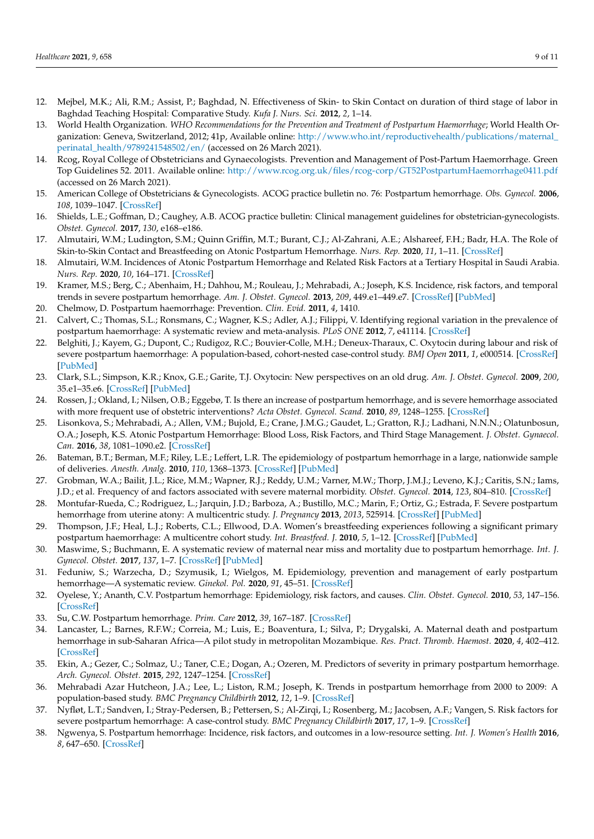- <span id="page-8-0"></span>12. Mejbel, M.K.; Ali, R.M.; Assist, P.; Baghdad, N. Effectiveness of Skin- to Skin Contact on duration of third stage of labor in Baghdad Teaching Hospital: Comparative Study. *Kufa J. Nurs. Sci.* **2012**, *2*, 1–14.
- <span id="page-8-1"></span>13. World Health Organization. *WHO Recommendations for the Prevention and Treatment of Postpartum Haemorrhage*; World Health Organization: Geneva, Switzerland, 2012; 41p, Available online: [http://www.who.int/reproductivehealth/publications/maternal\\_](http://www.who.int/reproductivehealth/publications/maternal_perinatal_health/9789241548502/en/) [perinatal\\_health/9789241548502/en/](http://www.who.int/reproductivehealth/publications/maternal_perinatal_health/9789241548502/en/) (accessed on 26 March 2021).
- <span id="page-8-2"></span>14. Rcog, Royal College of Obstetricians and Gynaecologists. Prevention and Management of Post-Partum Haemorrhage. Green Top Guidelines 52. 2011. Available online: <http://www.rcog.org.uk/files/rcog-corp/GT52PostpartumHaemorrhage0411.pdf> (accessed on 26 March 2021).
- <span id="page-8-3"></span>15. American College of Obstetricians & Gynecologists. ACOG practice bulletin no. 76: Postpartum hemorrhage. *Obs. Gynecol.* **2006**, *108*, 1039–1047. [\[CrossRef\]](http://doi.org/10.1097/00006250-200610000-00046)
- <span id="page-8-4"></span>16. Shields, L.E.; Goffman, D.; Caughey, A.B. ACOG practice bulletin: Clinical management guidelines for obstetrician-gynecologists. *Obstet. Gynecol.* **2017**, *130*, e168–e186.
- <span id="page-8-5"></span>17. Almutairi, W.M.; Ludington, S.M.; Quinn Griffin, M.T.; Burant, C.J.; Al-Zahrani, A.E.; Alshareef, F.H.; Badr, H.A. The Role of Skin-to-Skin Contact and Breastfeeding on Atonic Postpartum Hemorrhage. *Nurs. Rep.* **2020**, *11*, 1–11. [\[CrossRef\]](http://doi.org/10.3390/nursrep11010001)
- 18. Almutairi, W.M. Incidences of Atonic Postpartum Hemorrhage and Related Risk Factors at a Tertiary Hospital in Saudi Arabia. *Nurs. Rep.* **2020**, *10*, 164–171. [\[CrossRef\]](http://doi.org/10.3390/nursrep10020020)
- <span id="page-8-6"></span>19. Kramer, M.S.; Berg, C.; Abenhaim, H.; Dahhou, M.; Rouleau, J.; Mehrabadi, A.; Joseph, K.S. Incidence, risk factors, and temporal trends in severe postpartum hemorrhage. *Am. J. Obstet. Gynecol.* **2013**, *209*, 449.e1–449.e7. [\[CrossRef\]](http://doi.org/10.1016/j.ajog.2013.07.007) [\[PubMed\]](http://www.ncbi.nlm.nih.gov/pubmed/23871950)
- <span id="page-8-7"></span>20. Chelmow, D. Postpartum haemorrhage: Prevention. *Clin. Evid.* **2011**, *4*, 1410.
- <span id="page-8-8"></span>21. Calvert, C.; Thomas, S.L.; Ronsmans, C.; Wagner, K.S.; Adler, A.J.; Filippi, V. Identifying regional variation in the prevalence of postpartum haemorrhage: A systematic review and meta-analysis. *PLoS ONE* **2012**, *7*, e41114. [\[CrossRef\]](http://doi.org/10.1371/journal.pone.0041114)
- <span id="page-8-9"></span>22. Belghiti, J.; Kayem, G.; Dupont, C.; Rudigoz, R.C.; Bouvier-Colle, M.H.; Deneux-Tharaux, C. Oxytocin during labour and risk of severe postpartum haemorrhage: A population-based, cohort-nested case-control study. *BMJ Open* **2011**, *1*, e000514. [\[CrossRef\]](http://doi.org/10.1136/bmjopen-2011-000514) [\[PubMed\]](http://www.ncbi.nlm.nih.gov/pubmed/22189353)
- 23. Clark, S.L.; Simpson, K.R.; Knox, G.E.; Garite, T.J. Oxytocin: New perspectives on an old drug. *Am. J. Obstet. Gynecol.* **2009**, *200*, 35.e1–35.e6. [\[CrossRef\]](http://doi.org/10.1016/j.ajog.2008.06.010) [\[PubMed\]](http://www.ncbi.nlm.nih.gov/pubmed/18667171)
- 24. Rossen, J.; Okland, I.; Nilsen, O.B.; Eggebø, T. Is there an increase of postpartum hemorrhage, and is severe hemorrhage associated with more frequent use of obstetric interventions? *Acta Obstet. Gynecol. Scand.* **2010**, *89*, 1248–1255. [\[CrossRef\]](http://doi.org/10.3109/00016349.2010.514324)
- <span id="page-8-10"></span>25. Lisonkova, S.; Mehrabadi, A.; Allen, V.M.; Bujold, E.; Crane, J.M.G.; Gaudet, L.; Gratton, R.J.; Ladhani, N.N.N.; Olatunbosun, O.A.; Joseph, K.S. Atonic Postpartum Hemorrhage: Blood Loss, Risk Factors, and Third Stage Management. *J. Obstet. Gynaecol. Can.* **2016**, *38*, 1081–1090.e2. [\[CrossRef\]](http://doi.org/10.1016/j.jogc.2016.06.014)
- <span id="page-8-11"></span>26. Bateman, B.T.; Berman, M.F.; Riley, L.E.; Leffert, L.R. The epidemiology of postpartum hemorrhage in a large, nationwide sample of deliveries. *Anesth. Analg.* **2010**, *110*, 1368–1373. [\[CrossRef\]](http://doi.org/10.1213/ANE.0b013e3181d74898) [\[PubMed\]](http://www.ncbi.nlm.nih.gov/pubmed/20237047)
- <span id="page-8-12"></span>27. Grobman, W.A.; Bailit, J.L.; Rice, M.M.; Wapner, R.J.; Reddy, U.M.; Varner, M.W.; Thorp, J.M.J.; Leveno, K.J.; Caritis, S.N.; Iams, J.D.; et al. Frequency of and factors associated with severe maternal morbidity. *Obstet. Gynecol.* **2014**, *123*, 804–810. [\[CrossRef\]](http://doi.org/10.1097/AOG.0000000000000173)
- <span id="page-8-13"></span>28. Montufar-Rueda, C.; Rodriguez, L.; Jarquin, J.D.; Barboza, A.; Bustillo, M.C.; Marin, F.; Ortiz, G.; Estrada, F. Severe postpartum hemorrhage from uterine atony: A multicentric study. *J. Pregnancy* **2013**, *2013*, 525914. [\[CrossRef\]](http://doi.org/10.1155/2013/525914) [\[PubMed\]](http://www.ncbi.nlm.nih.gov/pubmed/24363935)
- <span id="page-8-14"></span>29. Thompson, J.F.; Heal, L.J.; Roberts, C.L.; Ellwood, D.A. Women's breastfeeding experiences following a significant primary postpartum haemorrhage: A multicentre cohort study. *Int. Breastfeed. J.* **2010**, *5*, 1–12. [\[CrossRef\]](http://doi.org/10.1186/1746-4358-5-5) [\[PubMed\]](http://www.ncbi.nlm.nih.gov/pubmed/20504372)
- <span id="page-8-15"></span>30. Maswime, S.; Buchmann, E. A systematic review of maternal near miss and mortality due to postpartum hemorrhage. *Int. J. Gynecol. Obstet.* **2017**, *137*, 1–7. [\[CrossRef\]](http://doi.org/10.1002/ijgo.12096) [\[PubMed\]](http://www.ncbi.nlm.nih.gov/pubmed/28099749)
- <span id="page-8-16"></span>31. Feduniw, S.; Warzecha, D.; Szymusik, I.; Wielgos, M. Epidemiology, prevention and management of early postpartum hemorrhage—A systematic review. *Ginekol. Pol.* **2020**, *91*, 45–51. [\[CrossRef\]](http://doi.org/10.5603/GP.2020.0009)
- <span id="page-8-18"></span>32. Oyelese, Y.; Ananth, C.V. Postpartum hemorrhage: Epidemiology, risk factors, and causes. *Clin. Obstet. Gynecol.* **2010**, *53*, 147–156. [\[CrossRef\]](http://doi.org/10.1097/GRF.0b013e3181cc406d)
- <span id="page-8-22"></span>33. Su, C.W. Postpartum hemorrhage. *Prim. Care* **2012**, *39*, 167–187. [\[CrossRef\]](http://doi.org/10.1016/j.pop.2011.11.009)
- <span id="page-8-17"></span>34. Lancaster, L.; Barnes, R.F.W.; Correia, M.; Luis, E.; Boaventura, I.; Silva, P.; Drygalski, A. Maternal death and postpartum hemorrhage in sub-Saharan Africa—A pilot study in metropolitan Mozambique. *Res. Pract. Thromb. Haemost.* **2020**, *4*, 402–412. [\[CrossRef\]](http://doi.org/10.1002/rth2.12311)
- <span id="page-8-19"></span>35. Ekin, A.; Gezer, C.; Solmaz, U.; Taner, C.E.; Dogan, A.; Ozeren, M. Predictors of severity in primary postpartum hemorrhage. *Arch. Gynecol. Obstet.* **2015**, *292*, 1247–1254. [\[CrossRef\]](http://doi.org/10.1007/s00404-015-3771-5)
- 36. Mehrabadi Azar Hutcheon, J.A.; Lee, L.; Liston, R.M.; Joseph, K. Trends in postpartum hemorrhage from 2000 to 2009: A population-based study. *BMC Pregnancy Childbirth* **2012**, *12*, 1–9. [\[CrossRef\]](http://doi.org/10.1186/1471-2393-12-108)
- <span id="page-8-21"></span>37. Nyfløt, L.T.; Sandven, I.; Stray-Pedersen, B.; Pettersen, S.; Al-Zirqi, I.; Rosenberg, M.; Jacobsen, A.F.; Vangen, S. Risk factors for severe postpartum hemorrhage: A case-control study. *BMC Pregnancy Childbirth* **2017**, *17*, 1–9. [\[CrossRef\]](http://doi.org/10.1186/s12884-016-1217-0)
- <span id="page-8-20"></span>38. Ngwenya, S. Postpartum hemorrhage: Incidence, risk factors, and outcomes in a low-resource setting. *Int. J. Women's Health* **2016**, *8*, 647–650. [\[CrossRef\]](http://doi.org/10.2147/IJWH.S119232)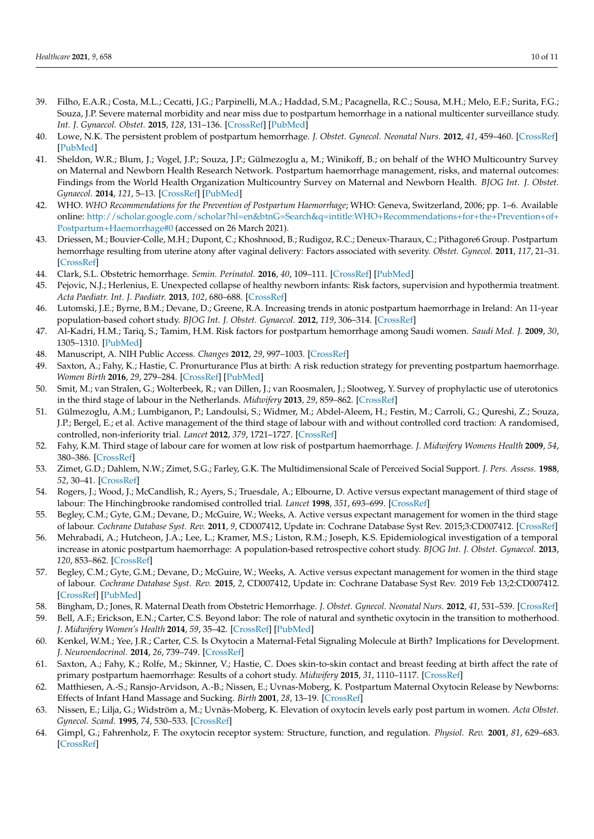- <span id="page-9-0"></span>39. Filho, E.A.R.; Costa, M.L.; Cecatti, J.G.; Parpinelli, M.A.; Haddad, S.M.; Pacagnella, R.C.; Sousa, M.H.; Melo, E.F.; Surita, F.G.; Souza, J.P. Severe maternal morbidity and near miss due to postpartum hemorrhage in a national multicenter surveillance study. *Int. J. Gynaecol. Obstet.* **2015**, *128*, 131–136. [\[CrossRef\]](http://doi.org/10.1016/j.ijgo.2014.08.023) [\[PubMed\]](http://www.ncbi.nlm.nih.gov/pubmed/25468058)
- <span id="page-9-1"></span>40. Lowe, N.K. The persistent problem of postpartum hemorrhage. *J. Obstet. Gynecol. Neonatal Nurs.* **2012**, *41*, 459–460. [\[CrossRef\]](http://doi.org/10.1111/j.1552-6909.2012.01397.x) [\[PubMed\]](http://www.ncbi.nlm.nih.gov/pubmed/22804957)
- <span id="page-9-2"></span>41. Sheldon, W.R.; Blum, J.; Vogel, J.P.; Souza, J.P.; Gülmezoglu a, M.; Winikoff, B.; on behalf of the WHO Multicountry Survey on Maternal and Newborn Health Research Network. Postpartum haemorrhage management, risks, and maternal outcomes: Findings from the World Health Organization Multicountry Survey on Maternal and Newborn Health. *BJOG Int. J. Obstet. Gynaecol.* **2014**, *121*, 5–13. [\[CrossRef\]](http://doi.org/10.1111/1471-0528.12636) [\[PubMed\]](http://www.ncbi.nlm.nih.gov/pubmed/24641530)
- <span id="page-9-3"></span>42. WHO. *WHO Recommendations for the Prevention of Postpartum Haemorrhage*; WHO: Geneva, Switzerland, 2006; pp. 1–6. Available online: [http://scholar.google.com/scholar?hl=en&btnG=Search&q=intitle:WHO+Recommendations+for+the+Prevention+of+](http://scholar.google.com/scholar?hl=en&btnG=Search&q=intitle:WHO+Recommendations+for+the+Prevention+of+Postpartum+Haemorrhage#0) [Postpartum+Haemorrhage#0](http://scholar.google.com/scholar?hl=en&btnG=Search&q=intitle:WHO+Recommendations+for+the+Prevention+of+Postpartum+Haemorrhage#0) (accessed on 26 March 2021).
- <span id="page-9-4"></span>43. Driessen, M.; Bouvier-Colle, M.H.; Dupont, C.; Khoshnood, B.; Rudigoz, R.C.; Deneux-Tharaux, C.; Pithagore6 Group. Postpartum hemorrhage resulting from uterine atony after vaginal delivery: Factors associated with severity. *Obstet. Gynecol.* **2011**, *117*, 21–31. [\[CrossRef\]](http://doi.org/10.1097/AOG.0b013e318202c845)
- <span id="page-9-5"></span>44. Clark, S.L. Obstetric hemorrhage. *Semin. Perinatol.* **2016**, *40*, 109–111. [\[CrossRef\]](http://doi.org/10.1053/j.semperi.2015.11.016) [\[PubMed\]](http://www.ncbi.nlm.nih.gov/pubmed/26726136)
- <span id="page-9-6"></span>45. Pejovic, N.J.; Herlenius, E. Unexpected collapse of healthy newborn infants: Risk factors, supervision and hypothermia treatment. *Acta Paediatr. Int. J. Paediatr.* **2013**, *102*, 680–688. [\[CrossRef\]](http://doi.org/10.1111/apa.12244)
- <span id="page-9-7"></span>46. Lutomski, J.E.; Byrne, B.M.; Devane, D.; Greene, R.A. Increasing trends in atonic postpartum haemorrhage in Ireland: An 11-year population-based cohort study. *BJOG Int. J. Obstet. Gynaecol.* **2012**, *119*, 306–314. [\[CrossRef\]](http://doi.org/10.1111/j.1471-0528.2011.03198.x)
- <span id="page-9-8"></span>47. Al-Kadri, H.M.; Tariq, S.; Tamim, H.M. Risk factors for postpartum hemorrhage among Saudi women. *Saudi Med. J.* **2009**, *30*, 1305–1310. [\[PubMed\]](http://www.ncbi.nlm.nih.gov/pubmed/19838439)
- <span id="page-9-9"></span>48. Manuscript, A. NIH Public Access. *Changes* **2012**, *29*, 997–1003. [\[CrossRef\]](http://doi.org/10.1016/j.biotechadv.2011.08.021.Secreted)
- <span id="page-9-10"></span>49. Saxton, A.; Fahy, K.; Hastie, C. Pronurturance Plus at birth: A risk reduction strategy for preventing postpartum haemorrhage. *Women Birth* **2016**, *29*, 279–284. [\[CrossRef\]](http://doi.org/10.1016/j.wombi.2015.11.007) [\[PubMed\]](http://www.ncbi.nlm.nih.gov/pubmed/26724899)
- <span id="page-9-11"></span>50. Smit, M.; van Stralen, G.; Wolterbeek, R.; van Dillen, J.; van Roosmalen, J.; Slootweg, Y. Survey of prophylactic use of uterotonics in the third stage of labour in the Netherlands. *Midwifery* **2013**, *29*, 859–862. [\[CrossRef\]](http://doi.org/10.1016/j.midw.2012.09.004)
- <span id="page-9-12"></span>51. Gülmezoglu, A.M.; Lumbiganon, P.; Landoulsi, S.; Widmer, M.; Abdel-Aleem, H.; Festin, M.; Carroli, G.; Qureshi, Z.; Souza, J.P.; Bergel, E.; et al. Active management of the third stage of labour with and without controlled cord traction: A randomised, controlled, non-inferiority trial. *Lancet* **2012**, *379*, 1721–1727. [\[CrossRef\]](http://doi.org/10.1016/S0140-6736(12)60206-2)
- <span id="page-9-13"></span>52. Fahy, K.M. Third stage of labour care for women at low risk of postpartum haemorrhage. *J. Midwifery Womens Health* **2009**, *54*, 380–386. [\[CrossRef\]](http://doi.org/10.1016/j.jmwh.2008.12.016)
- <span id="page-9-14"></span>53. Zimet, G.D.; Dahlem, N.W.; Zimet, S.G.; Farley, G.K. The Multidimensional Scale of Perceived Social Support. *J. Pers. Assess.* **1988**, *52*, 30–41. [\[CrossRef\]](http://doi.org/10.1207/s15327752jpa5201_2)
- <span id="page-9-15"></span>54. Rogers, J.; Wood, J.; McCandlish, R.; Ayers, S.; Truesdale, A.; Elbourne, D. Active versus expectant management of third stage of labour: The Hinchingbrooke randomised controlled trial. *Lancet* **1998**, *351*, 693–699. [\[CrossRef\]](http://doi.org/10.1016/S0140-6736(97)09409-9)
- <span id="page-9-16"></span>55. Begley, C.M.; Gyte, G.M.; Devane, D.; McGuire, W.; Weeks, A. Active versus expectant management for women in the third stage of labour. *Cochrane Database Syst. Rev.* **2011**, *9*, CD007412, Update in: Cochrane Database Syst Rev. 2015;3:CD007412. [\[CrossRef\]](http://doi.org/10.1002/14651858.CD007412.pub3)
- <span id="page-9-17"></span>56. Mehrabadi, A.; Hutcheon, J.A.; Lee, L.; Kramer, M.S.; Liston, R.M.; Joseph, K.S. Epidemiological investigation of a temporal increase in atonic postpartum haemorrhage: A population-based retrospective cohort study. *BJOG Int. J. Obstet. Gynaecol.* **2013**, *120*, 853–862. [\[CrossRef\]](http://doi.org/10.1111/1471-0528.12149)
- <span id="page-9-18"></span>57. Begley, C.M.; Gyte, G.M.; Devane, D.; McGuire, W.; Weeks, A. Active versus expectant management for women in the third stage of labour. *Cochrane Database Syst. Rev.* **2015**, *2*, CD007412, Update in: Cochrane Database Syst Rev. 2019 Feb 13;2:CD007412. [\[CrossRef\]](http://doi.org/10.1002/14651858.CD007412.pub4) [\[PubMed\]](http://www.ncbi.nlm.nih.gov/pubmed/25730178)
- <span id="page-9-19"></span>58. Bingham, D.; Jones, R. Maternal Death from Obstetric Hemorrhage. *J. Obstet. Gynecol. Neonatal Nurs.* **2012**, *41*, 531–539. [\[CrossRef\]](http://doi.org/10.1111/j.1552-6909.2012.01372.x)
- <span id="page-9-20"></span>59. Bell, A.F.; Erickson, E.N.; Carter, C.S. Beyond labor: The role of natural and synthetic oxytocin in the transition to motherhood. *J. Midwifery Women's Health* **2014**, *59*, 35–42. [\[CrossRef\]](http://doi.org/10.1111/jmwh.12101) [\[PubMed\]](http://www.ncbi.nlm.nih.gov/pubmed/24472136)
- <span id="page-9-21"></span>60. Kenkel, W.M.; Yee, J.R.; Carter, C.S. Is Oxytocin a Maternal-Fetal Signaling Molecule at Birth? Implications for Development. *J. Neuroendocrinol.* **2014**, *26*, 739–749. [\[CrossRef\]](http://doi.org/10.1111/jne.12186)
- <span id="page-9-22"></span>61. Saxton, A.; Fahy, K.; Rolfe, M.; Skinner, V.; Hastie, C. Does skin-to-skin contact and breast feeding at birth affect the rate of primary postpartum haemorrhage: Results of a cohort study. *Midwifery* **2015**, *31*, 1110–1117. [\[CrossRef\]](http://doi.org/10.1016/j.midw.2015.07.008)
- <span id="page-9-23"></span>62. Matthiesen, A.-S.; Ransjo-Arvidson, A.-B.; Nissen, E.; Uvnas-Moberg, K. Postpartum Maternal Oxytocin Release by Newborns: Effects of Infant Hand Massage and Sucking. *Birth* **2001**, *28*, 13–19. [\[CrossRef\]](http://doi.org/10.1046/j.1523-536x.2001.00013.x)
- <span id="page-9-24"></span>63. Nissen, E.; Lilja, G.; Widström a, M.; Uvnäs-Moberg, K. Elevation of oxytocin levels early post partum in women. *Acta Obstet. Gynecol. Scand.* **1995**, *74*, 530–533. [\[CrossRef\]](http://doi.org/10.3109/00016349509024384)
- <span id="page-9-25"></span>64. Gimpl, G.; Fahrenholz, F. The oxytocin receptor system: Structure, function, and regulation. *Physiol. Rev.* **2001**, *81*, 629–683. [\[CrossRef\]](http://doi.org/10.1152/physrev.2001.81.2.629)